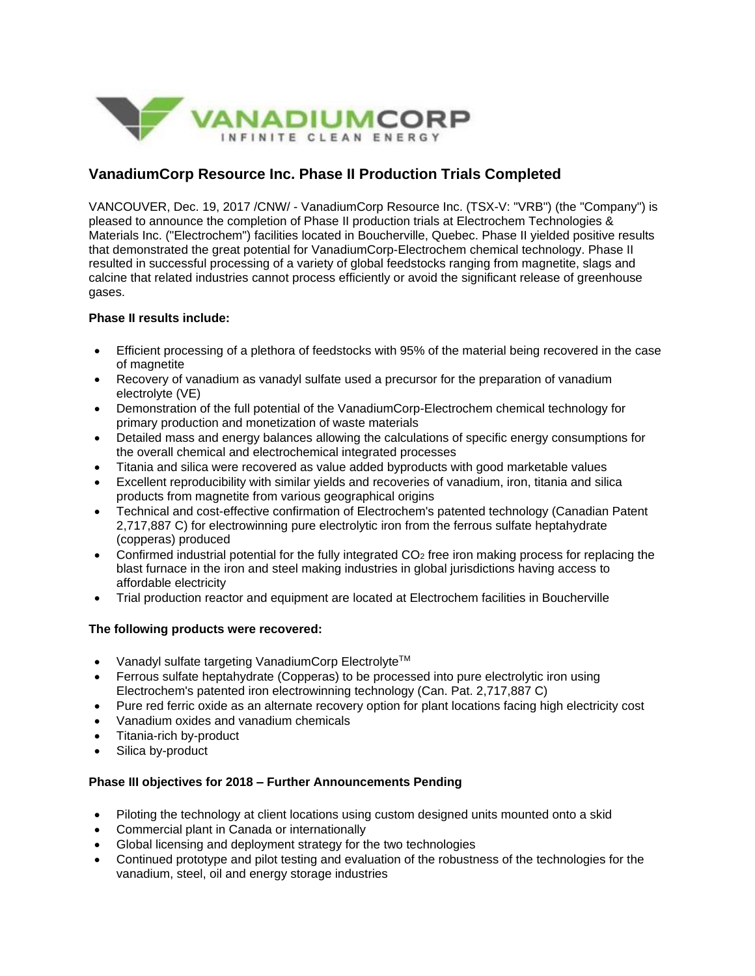

# **VanadiumCorp Resource Inc. Phase II Production Trials Completed**

VANCOUVER, Dec. 19, 2017 /CNW/ - VanadiumCorp Resource Inc. (TSX-V: "VRB") (the "Company") is pleased to announce the completion of Phase II production trials at Electrochem Technologies & Materials Inc. ("Electrochem") facilities located in Boucherville, Quebec. Phase II yielded positive results that demonstrated the great potential for VanadiumCorp-Electrochem chemical technology. Phase II resulted in successful processing of a variety of global feedstocks ranging from magnetite, slags and calcine that related industries cannot process efficiently or avoid the significant release of greenhouse gases.

# **Phase II results include:**

- Efficient processing of a plethora of feedstocks with 95% of the material being recovered in the case of magnetite
- Recovery of vanadium as vanadyl sulfate used a precursor for the preparation of vanadium electrolyte (VE)
- Demonstration of the full potential of the VanadiumCorp-Electrochem chemical technology for primary production and monetization of waste materials
- Detailed mass and energy balances allowing the calculations of specific energy consumptions for the overall chemical and electrochemical integrated processes
- Titania and silica were recovered as value added byproducts with good marketable values
- Excellent reproducibility with similar yields and recoveries of vanadium, iron, titania and silica products from magnetite from various geographical origins
- Technical and cost-effective confirmation of Electrochem's patented technology (Canadian Patent 2,717,887 C) for electrowinning pure electrolytic iron from the ferrous sulfate heptahydrate (copperas) produced
- Confirmed industrial potential for the fully integrated  $CO<sub>2</sub>$  free iron making process for replacing the blast furnace in the iron and steel making industries in global jurisdictions having access to affordable electricity
- Trial production reactor and equipment are located at Electrochem facilities in Boucherville

# **The following products were recovered:**

- Vanadyl sulfate targeting VanadiumCorp Electrolyte<sup>TM</sup>
- Ferrous sulfate heptahydrate (Copperas) to be processed into pure electrolytic iron using Electrochem's patented iron electrowinning technology (Can. Pat. 2,717,887 C)
- Pure red ferric oxide as an alternate recovery option for plant locations facing high electricity cost
- Vanadium oxides and vanadium chemicals
- Titania-rich by-product
- Silica by-product

## **Phase III objectives for 2018 – Further Announcements Pending**

- Piloting the technology at client locations using custom designed units mounted onto a skid
- Commercial plant in Canada or internationally
- Global licensing and deployment strategy for the two technologies
- Continued prototype and pilot testing and evaluation of the robustness of the technologies for the vanadium, steel, oil and energy storage industries